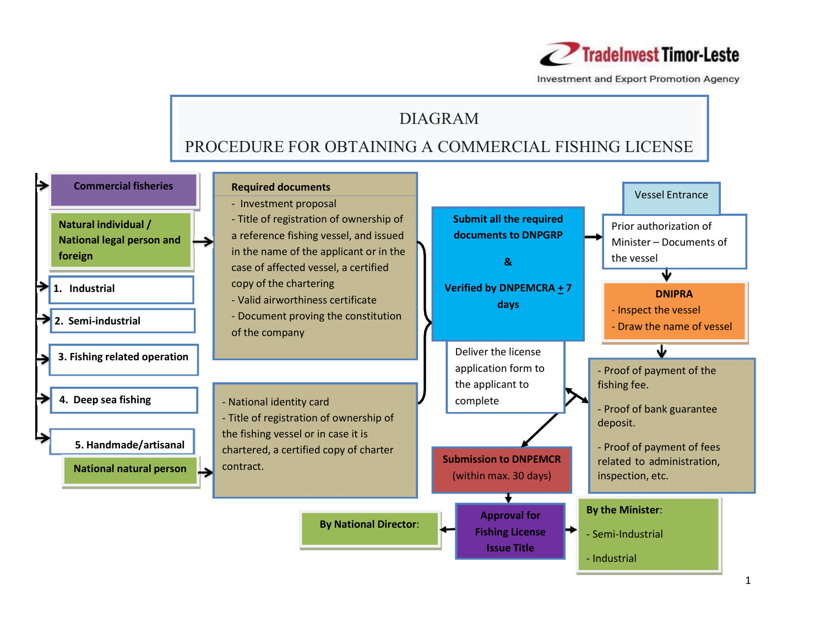